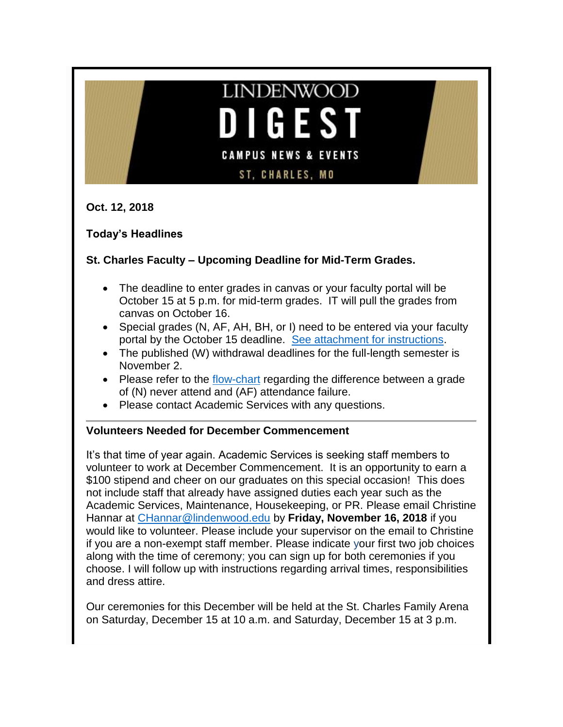# **LINDENWOOD** GES **CAMPUS NEWS & EVENTS ST, CHARLES, MO**

**Oct. 12, 2018**

**Today's Headlines**

# **St. Charles Faculty – Upcoming Deadline for Mid-Term Grades.**

- The deadline to enter grades in canvas or your faculty portal will be October 15 at 5 p.m. for mid-term grades. IT will pull the grades from canvas on October 16.
- Special grades (N, AF, AH, BH, or I) need to be entered via your faculty portal by the October 15 deadline. [See attachment for instructions.](http://felix.lindenwood.edu/newsletter/2018_10/specialgradesguide.pdf)
- The published (W) withdrawal deadlines for the full-length semester is November 2.
- Please refer to the [flow-chart](http://felix.lindenwood.edu/newsletter/2018_10/flowchartgrades.pdf) regarding the difference between a grade of (N) never attend and (AF) attendance failure.
- Please contact Academic Services with any questions.

# **Volunteers Needed for December Commencement**

It's that time of year again. Academic Services is seeking staff members to volunteer to work at December Commencement. It is an opportunity to earn a \$100 stipend and cheer on our graduates on this special occasion! This does not include staff that already have assigned duties each year such as the Academic Services, Maintenance, Housekeeping, or PR. Please email Christine Hannar at [CHannar@lindenwood.edu](mailto:CHannar@lindenwood.edu) by **Friday, November 16, 2018** if you would like to volunteer. Please include your supervisor on the email to Christine if you are a non-exempt staff member. Please indicate your first two job choices along with the time of ceremony; you can sign up for both ceremonies if you choose. I will follow up with instructions regarding arrival times, responsibilities and dress attire.

Our ceremonies for this December will be held at the St. Charles Family Arena on Saturday, December 15 at 10 a.m. and Saturday, December 15 at 3 p.m.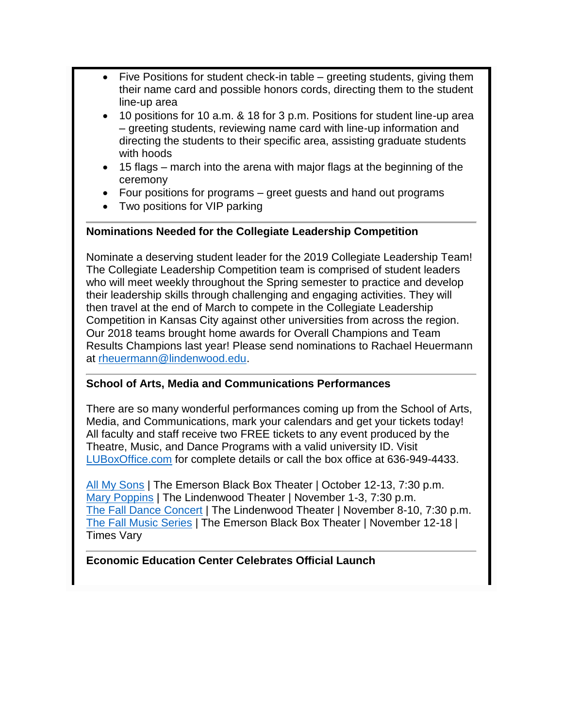- Five Positions for student check-in table greeting students, giving them their name card and possible honors cords, directing them to the student line-up area
- 10 positions for 10 a.m. & 18 for 3 p.m. Positions for student line-up area – greeting students, reviewing name card with line-up information and directing the students to their specific area, assisting graduate students with hoods
- 15 flags march into the arena with major flags at the beginning of the ceremony
- Four positions for programs greet guests and hand out programs
- Two positions for VIP parking

# **Nominations Needed for the Collegiate Leadership Competition**

Nominate a deserving student leader for the 2019 Collegiate Leadership Team! The Collegiate Leadership Competition team is comprised of student leaders who will meet weekly throughout the Spring semester to practice and develop their leadership skills through challenging and engaging activities. They will then travel at the end of March to compete in the Collegiate Leadership Competition in Kansas City against other universities from across the region. Our 2018 teams brought home awards for Overall Champions and Team Results Champions last year! Please send nominations to Rachael Heuermann at [rheuermann@lindenwood.edu.](mailto:rheuermann@lindenwood.edu)

# **School of Arts, Media and Communications Performances**

There are so many wonderful performances coming up from the School of Arts, Media, and Communications, mark your calendars and get your tickets today! All faculty and staff receive two FREE tickets to any event produced by the Theatre, Music, and Dance Programs with a valid university ID. Visit [LUBoxOffice.com](http://www.lindenwood.edu/j-scheidegger-center-for-the-arts/) for complete details or call the box office at 636-949-4433.

[All My Sons](http://felix.lindenwood.edu/newsletter/2018_10/allmysons.jpg) | The Emerson Black Box Theater | October 12-13, 7:30 p.m. [Mary Poppins](http://felix.lindenwood.edu/newsletter/2018_10/poppins.png) | The Lindenwood Theater | November 1-3, 7:30 p.m. [The Fall Dance Concert](http://felix.lindenwood.edu/newsletter/2018_10/dance.jpg) | The Lindenwood Theater | November 8-10, 7:30 p.m. [The Fall Music Series](http://felix.lindenwood.edu/newsletter/2018_10/music.png) | The Emerson Black Box Theater | November 12-18 | Times Vary

# **Economic Education Center Celebrates Official Launch**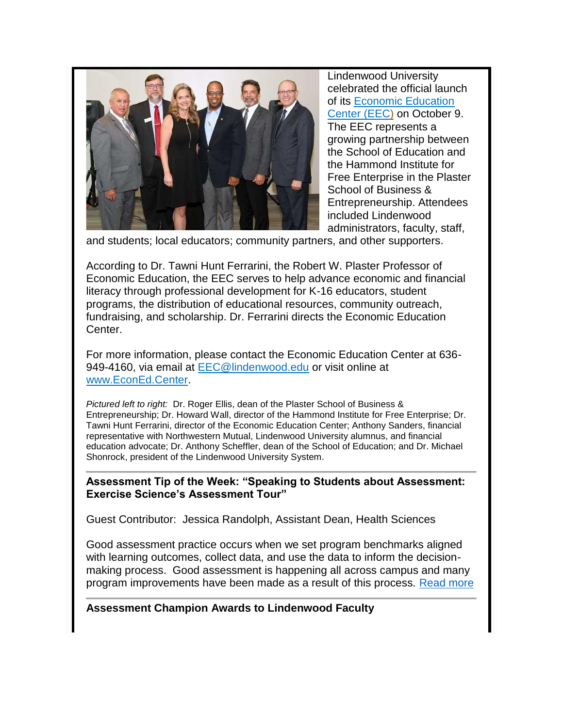

Lindenwood University celebrated the official launch of its [Economic Education](http://www.lindenwood.edu/academics/centers-institutes/economic-education-center/)  [Center \(EEC\)](http://www.lindenwood.edu/academics/centers-institutes/economic-education-center/) on October 9. The EEC represents a growing partnership between the School of Education and the Hammond Institute for Free Enterprise in the Plaster School of Business & Entrepreneurship. Attendees included Lindenwood administrators, faculty, staff,

and students; local educators; community partners, and other supporters.

According to Dr. Tawni Hunt Ferrarini, the Robert W. Plaster Professor of Economic Education, the EEC serves to help advance economic and financial literacy through professional development for K-16 educators, student programs, the distribution of educational resources, community outreach, fundraising, and scholarship. Dr. Ferrarini directs the Economic Education Center.

For more information, please contact the Economic Education Center at 636- 949-4160, via email at [EEC@lindenwood.edu](mailto:EEC@lindenwood.edu) or visit online at [www.EconEd.Center.](http://www.econed.center/)

*Pictured left to right:* Dr. Roger Ellis, dean of the Plaster School of Business & Entrepreneurship; Dr. Howard Wall, director of the Hammond Institute for Free Enterprise; Dr. Tawni Hunt Ferrarini, director of the Economic Education Center; Anthony Sanders, financial representative with Northwestern Mutual, Lindenwood University alumnus, and financial education advocate; Dr. Anthony Scheffler, dean of the School of Education; and Dr. Michael Shonrock, president of the Lindenwood University System.

**Assessment Tip of the Week: "Speaking to Students about Assessment: Exercise Science's Assessment Tour"** 

Guest Contributor: Jessica Randolph, Assistant Dean, Health Sciences

Good assessment practice occurs when we set program benchmarks aligned with learning outcomes, collect data, and use the data to inform the decisionmaking process. Good assessment is happening all across campus and many program improvements have been made as a result of this process. [Read more](http://felix.lindenwood.edu/newsletter/2018_10/tip_1012.pdf)

**Assessment Champion Awards to Lindenwood Faculty**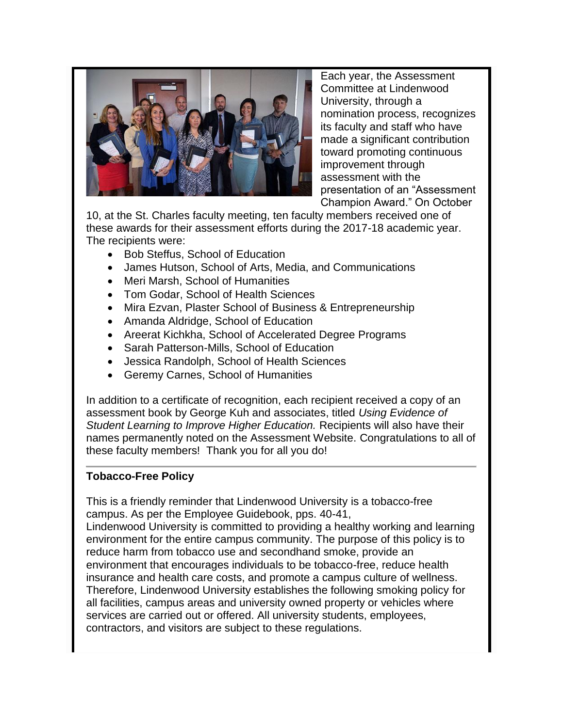

Each year, the Assessment Committee at Lindenwood University, through a nomination process, recognizes its faculty and staff who have made a significant contribution toward promoting continuous improvement through assessment with the presentation of an "Assessment Champion Award." On October

10, at the St. Charles faculty meeting, ten faculty members received one of these awards for their assessment efforts during the 2017-18 academic year. The recipients were:

- Bob Steffus, School of Education
- James Hutson, School of Arts, Media, and Communications
- Meri Marsh, School of Humanities
- Tom Godar, School of Health Sciences
- Mira Ezvan, Plaster School of Business & Entrepreneurship
- Amanda Aldridge, School of Education
- Areerat Kichkha, School of Accelerated Degree Programs
- Sarah Patterson-Mills, School of Education
- Jessica Randolph, School of Health Sciences
- Geremy Carnes, School of Humanities

In addition to a certificate of recognition, each recipient received a copy of an assessment book by George Kuh and associates, titled *Using Evidence of Student Learning to Improve Higher Education.* Recipients will also have their names permanently noted on the Assessment Website. Congratulations to all of these faculty members! Thank you for all you do!

# **Tobacco-Free Policy**

This is a friendly reminder that Lindenwood University is a tobacco-free campus. As per the Employee Guidebook, pps. 40-41,

Lindenwood University is committed to providing a healthy working and learning environment for the entire campus community. The purpose of this policy is to reduce harm from tobacco use and secondhand smoke, provide an environment that encourages individuals to be tobacco-free, reduce health insurance and health care costs, and promote a campus culture of wellness. Therefore, Lindenwood University establishes the following smoking policy for all facilities, campus areas and university owned property or vehicles where services are carried out or offered. All university students, employees, contractors, and visitors are subject to these regulations.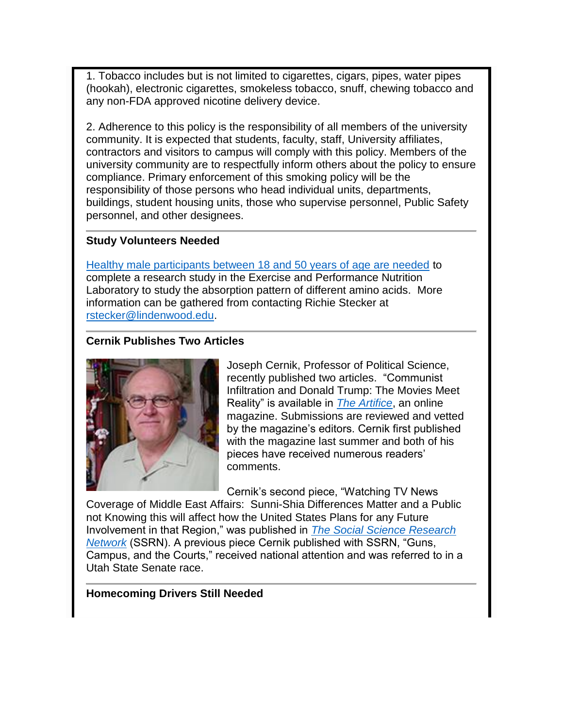1. Tobacco includes but is not limited to cigarettes, cigars, pipes, water pipes (hookah), electronic cigarettes, smokeless tobacco, snuff, chewing tobacco and any non-FDA approved nicotine delivery device.

2. Adherence to this policy is the responsibility of all members of the university community. It is expected that students, faculty, staff, University affiliates, contractors and visitors to campus will comply with this policy. Members of the university community are to respectfully inform others about the policy to ensure compliance. Primary enforcement of this smoking policy will be the responsibility of those persons who head individual units, departments, buildings, student housing units, those who supervise personnel, Public Safety personnel, and other designees.

#### **Study Volunteers Needed**

[Healthy male participants between 18 and 50 years of age are needed](http://felix.lindenwood.edu/newsletter/2018_10/research.pdf) to complete a research study in the Exercise and Performance Nutrition Laboratory to study the absorption pattern of different amino acids. More information can be gathered from contacting Richie Stecker at [rstecker@lindenwood.edu.](mailto:rstecker@lindenwood.edu)

# **Cernik Publishes Two Articles**



Joseph Cernik, Professor of Political Science, recently published two articles. "Communist Infiltration and Donald Trump: The Movies Meet Reality" is available in *[The Artifice](https://the-artifice.com/donald-trump-movies-communism/)*, an online magazine. Submissions are reviewed and vetted by the magazine's editors. Cernik first published with the magazine last summer and both of his pieces have received numerous readers' comments.

Cernik's second piece, "Watching TV News

Coverage of Middle East Affairs: Sunni-Shia Differences Matter and a Public not Knowing this will affect how the United States Plans for any Future Involvement in that Region," was published in *[The Social Science Research](https://papers.ssrn.com/sol3/papers.cfm?abstract_id=3260913)  [Network](https://papers.ssrn.com/sol3/papers.cfm?abstract_id=3260913)* (SSRN). A previous piece Cernik published with SSRN, "Guns, Campus, and the Courts," received national attention and was referred to in a Utah State Senate race.

#### **Homecoming Drivers Still Needed**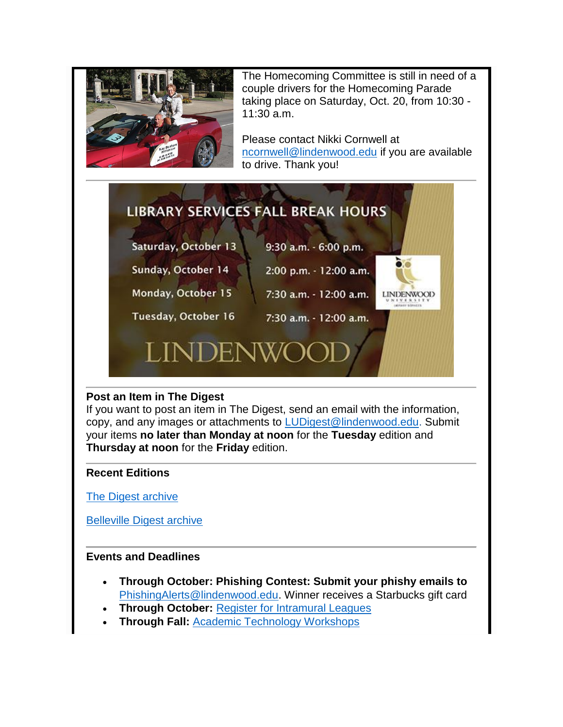

The Homecoming Committee is still in need of a couple drivers for the Homecoming Parade taking place on Saturday, Oct. 20, from 10:30 - 11:30 a.m.

Please contact Nikki Cornwell at [ncornwell@lindenwood.edu](mailto:ncornwell@lindenwood.edu) if you are available to drive. Thank you!



# **Post an Item in The Digest**

If you want to post an item in The Digest, send an email with the information, copy, and any images or attachments to [LUDigest@lindenwood.edu.](mailto:LUDigest@lindenwood.edu) Submit your items **no later than Monday at noon** for the **Tuesday** edition and **Thursday at noon** for the **Friday** edition.

#### **Recent Editions**

[The Digest archive](http://www.lindenwood.edu/about/digest-archives/)

[Belleville Digest archive](http://www.lindenwood.edu/belleville/about/lindenwood-belleville-digest-archives/)

# **Events and Deadlines**

- **Through October: Phishing Contest: Submit your phishy emails to**  [PhishingAlerts@lindenwood.edu.](mailto:PhishingAlerts@lindenwood.edu) Winner receives a Starbucks gift card
- **Through October:** [Register for Intramural Leagues](http://www.imleagues.com/lindenwood)
- **Through Fall:** [Academic Technology Workshops](http://felix.lindenwood.edu/newsletter/2018_08/fallstaffcatalog.pdf)